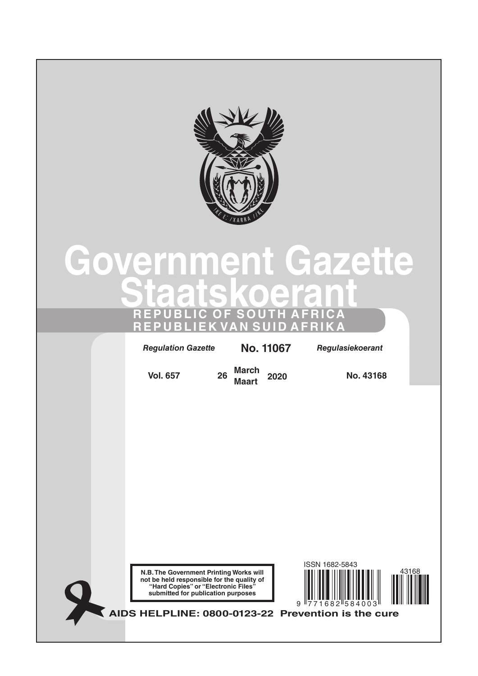

# **Government Gazette Staatskoerant REPUBLIC OF SOUTH AFRICA REPUBLIEK VAN SUID AFRIKA**

*Regulation Gazette* **No. 10177** *Regulasiekoerant Regulation Gazette* **No. 11067** *Regulasiekoerant*

**Vol. 657 <sup>26</sup> March** 

**Maart <sup>2020</sup> No. 43168**





**AIDS HELPLINE: 0800-0123-22 Prevention is the cure**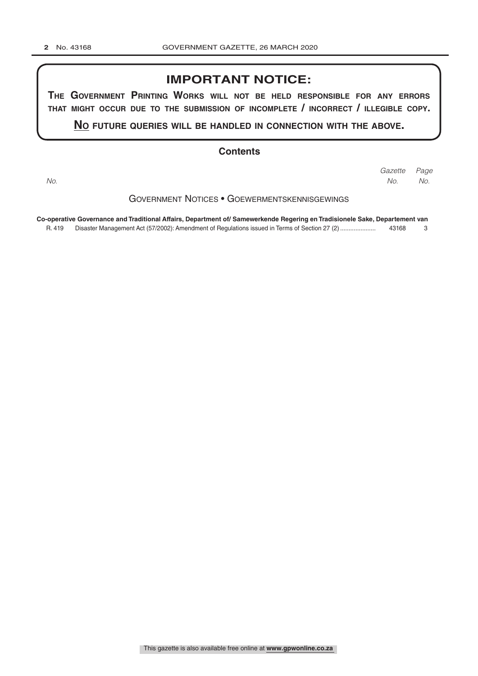## **IMPORTANT NOTICE:**

**The GovernmenT PrinTinG Works Will noT be held resPonsible for any errors ThaT miGhT occur due To The submission of incomPleTe / incorrecT / illeGible coPy.**

**no fuTure queries Will be handled in connecTion WiTh The above.**

#### **Contents**

*Page Gazette No. No. No.*

#### Government Notices • Goewermentskennisgewings

**Co-operative Governance and Traditional Affairs, Department of/ Samewerkende Regering en Tradisionele Sake, Departement van** R. 419 Disaster Management Act (57/2002): Amendment of Regulations issued in Terms of Section 27 (2) ..................... 43168 3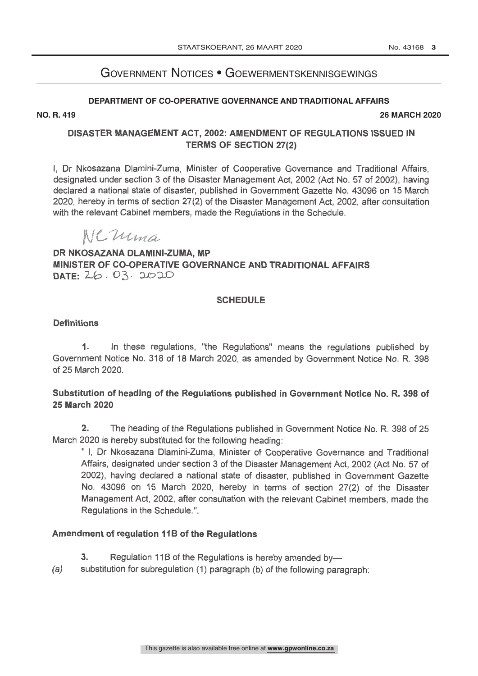# Government Notices • Goewermentskennisgewings

#### **DEPARTMENT OF CO-OPERATIVE GOVERNANCE AND TRADITIONAL AFFAIRS**

#### **NO. R. 419 26 MARCH 2020**

### DISASTER MANAGEMENT ACT, 2002: AMENDMENT OF REGULATIONS ISSUED IN **TERMS OF SECTION 27(2)**

I, Dr Nkosazana Dlamini-Zuma, Minister of Cooperative Governance and Traditional Affairs, designated under section 3 of the Disaster Management Act, 2002 (Act No. 57 of 2002), having declared a national state of disaster, published in Government Gazette No. 43096 on 15 March 2020, hereby in terms of section 27(2) of the Disaster Management Act. 2002, after consultation with the relevant Cabinet members, made the Regulations in the Schedule.

NC Mina

DR NKOSAZANA DLAMINI-ZUMA. MP MINISTER OF CO-OPERATIVE GOVERNANCE AND TRADITIONAL AFFAIRS DATE: 26.03.2020

#### **SCHEDULE**

#### **Definitions**

 $1.$ In these regulations, "the Regulations" means the regulations published by Government Notice No. 318 of 18 March 2020, as amended by Government Notice No. R. 398 of 25 March 2020.

Substitution of heading of the Regulations published in Government Notice No. R. 398 of **25 March 2020** 

 $2<sub>1</sub>$ The heading of the Regulations published in Government Notice No. R. 398 of 25 March 2020 is hereby substituted for the following heading:

" I, Dr Nkosazana Dlamini-Zuma, Minister of Cooperative Governance and Traditional Affairs, designated under section 3 of the Disaster Management Act, 2002 (Act No. 57 of 2002), having declared a national state of disaster, published in Government Gazette No. 43096 on 15 March 2020, hereby in terms of section 27(2) of the Disaster Management Act, 2002, after consultation with the relevant Cabinet members, made the Regulations in the Schedule.".

#### Amendment of regulation 11B of the Regulations

 $\mathbf{R}$ Regulation 11B of the Regulations is hereby amended by-

 $(a)$ substitution for subregulation (1) paragraph (b) of the following paragraph: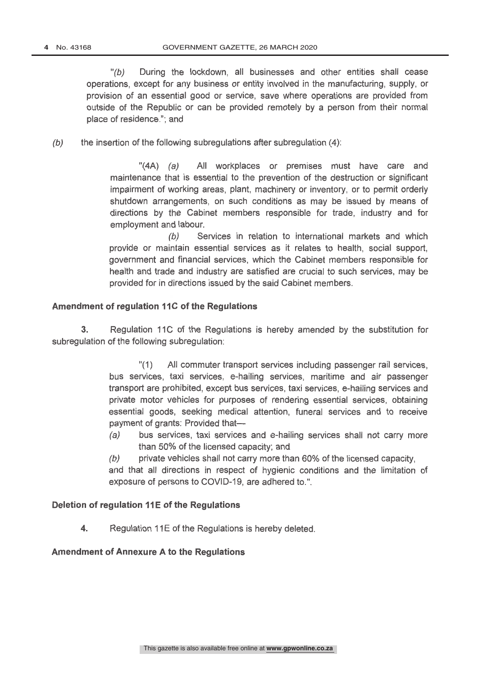During the lockdown, all businesses and other entities shall cease " $(b)$ operations, except for any business or entity involved in the manufacturing, supply, or provision of an essential good or service, save where operations are provided from outside of the Republic or can be provided remotely by a person from their normal place of residence."; and

 $(b)$ the insertion of the following subregulations after subregulation (4):

> $^{\prime\prime}(4A)$  (a) All workplaces or premises must have care and maintenance that is essential to the prevention of the destruction or significant impairment of working areas, plant, machinery or inventory, or to permit orderly shutdown arrangements, on such conditions as may be issued by means of directions by the Cabinet members responsible for trade, industry and for employment and labour.

> Services in relation to international markets and which  $(b)$ provide or maintain essential services as it relates to health, social support, government and financial services, which the Cabinet members responsible for health and trade and industry are satisfied are crucial to such services, may be provided for in directions issued by the said Cabinet members.

#### Amendment of regulation 11C of the Regulations

 $3.$ Regulation 11C of the Regulations is hereby amended by the substitution for subregulation of the following subregulation:

> $"(1)$ All commuter transport services including passenger rail services. bus services, taxi services, e-hailing services, maritime and air passenger transport are prohibited, except bus services, taxi services, e-hailing services and private motor vehicles for purposes of rendering essential services, obtaining essential goods, seeking medical attention, funeral services and to receive payment of grants: Provided that-

- bus services, taxi services and e-hailing services shall not carry more  $(a)$ than 50% of the licensed capacity; and
- private vehicles shall not carry more than 60% of the licensed capacity.  $(b)$

and that all directions in respect of hygienic conditions and the limitation of exposure of persons to COVID-19, are adhered to.".

#### Deletion of regulation 11E of the Regulations

 $\overline{4}$ . Regulation 11E of the Regulations is hereby deleted.

#### **Amendment of Annexure A to the Regulations**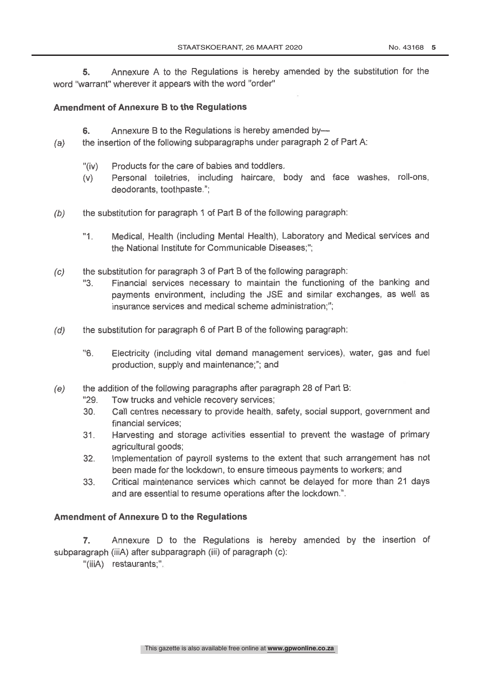Annexure A to the Regulations is hereby amended by the substitution for the 5. word "warrant" wherever it appears with the word "order"

#### **Amendment of Annexure B to the Regulations**

- 6. Annexure B to the Regulations is hereby amended by-
- the insertion of the following subparagraphs under paragraph 2 of Part A:  $(a)$ 
	- $(vi)$ " Products for the care of babies and toddlers.
	- Personal toiletries, including haircare, body and face washes, roll-ons,  $(v)$ deodorants. toothpaste.":
- the substitution for paragraph 1 of Part B of the following paragraph:  $(b)$ 
	- "1 Medical, Health (including Mental Health), Laboratory and Medical services and the National Institute for Communicable Diseases;";
- the substitution for paragraph 3 of Part B of the following paragraph:  $(c)$ 
	- "3 Financial services necessary to maintain the functioning of the banking and payments environment, including the JSE and similar exchanges, as well as insurance services and medical scheme administration:":
- the substitution for paragraph 6 of Part B of the following paragraph:  $(d)$ 
	- "6. Electricity (including vital demand management services), water, gas and fuel production, supply and maintenance;"; and
- $(e)$ the addition of the following paragraphs after paragraph 28 of Part B:
	- Tow trucks and vehicle recovery services;  $"29.$
	- Call centres necessary to provide health, safety, social support, government and  $30<sub>1</sub>$ financial services:
	- Harvesting and storage activities essential to prevent the wastage of primary  $31.$ agricultural goods:
	- Implementation of payroll systems to the extent that such arrangement has not  $32.$ been made for the lockdown, to ensure timeous payments to workers; and
	- 33. Critical maintenance services which cannot be delayed for more than 21 days and are essential to resume operations after the lockdown.".

#### Amendment of Annexure D to the Regulations

Annexure D to the Regulations is hereby amended by the insertion of  $\overline{7}$ . subparagraph (iiiA) after subparagraph (iii) of paragraph (c):

"(iiiA) restaurants:".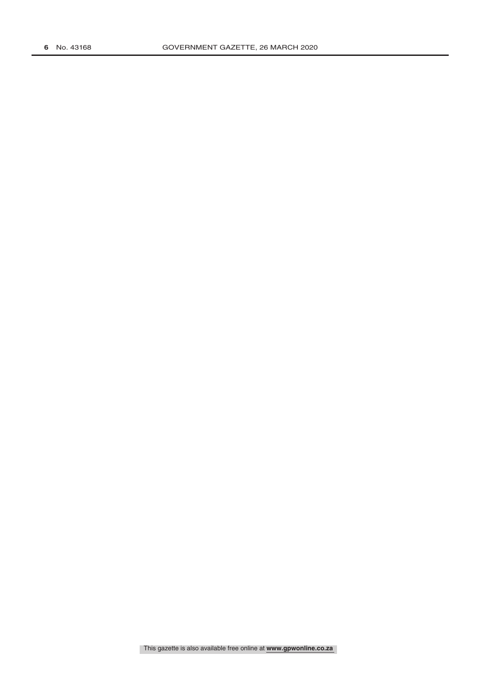This gazette is also available free online at **www.gpwonline.co.za**